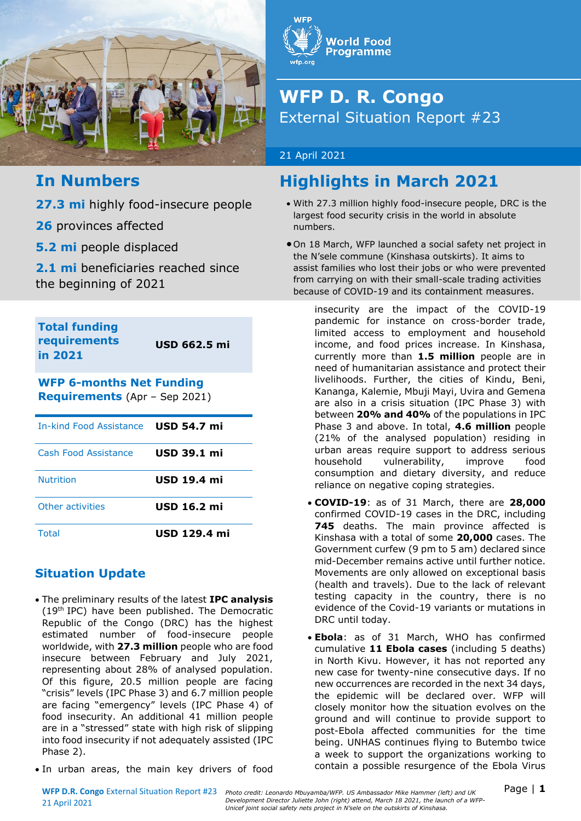

## **In Numbers**

**27.3 mi** highly food-insecure people

**26** provinces affected

**5.2 mi** people displaced

**2.1 mi** beneficiaries reached since the beginning of 2021

**Total funding requirements in 2021**

**USD 662.5 mi**

**WFP 6-months Net Funding Requirements** (Apr – Sep 2021)

| In-kind Food Assistance USD 54.7 mi |                     |
|-------------------------------------|---------------------|
| Cash Food Assistance                | <b>USD 39.1 mi</b>  |
| <b>Nutrition</b>                    | <b>USD 19.4 mi</b>  |
| Other activities                    | <b>USD 16.2 mi</b>  |
| Total                               | <b>USD 129.4 mi</b> |

### **Situation Update**

- The preliminary results of the latest **IPC analysis**  $(19<sup>th</sup>$  IPC) have been published. The Democratic Republic of the Congo (DRC) has the highest estimated number of food-insecure people worldwide, with **27.3 million** people who are food insecure between February and July 2021, representing about 28% of analysed population. Of this figure, 20.5 million people are facing "crisis" levels (IPC Phase 3) and 6.7 million people are facing "emergency" levels (IPC Phase 4) of food insecurity. An additional 41 million people are in a "stressed" state with high risk of slipping into food insecurity if not adequately assisted (IPC Phase 2).
- In urban areas, the main key drivers of food



# **WFP D. R. Congo** External Situation Report #23

#### 21 April 2021

# **Highlights in March 2021**

- With 27.3 million highly food-insecure people, DRC is the largest food security crisis in the world in absolute numbers.
- On 18 March, WFP launched a social safety net project in the N'sele commune (Kinshasa outskirts). It aims to assist families who lost their jobs or who were prevented from carrying on with their small-scale trading activities because of COVID-19 and its containment measures.

insecurity are the impact of the COVID-19 pandemic for instance on cross-border trade, limited access to employment and household income, and food prices increase. In Kinshasa, currently more than **1.5 million** people are in need of humanitarian assistance and protect their livelihoods. Further, the cities of Kindu, Beni, Kananga, Kalemie, Mbuji Mayi, Uvira and Gemena are also in a crisis situation (IPC Phase 3) with between **20% and 40%** of the populations in IPC Phase 3 and above. In total, **4.6 million** people (21% of the analysed population) residing in urban areas require support to address serious household vulnerability, improve food consumption and dietary diversity, and reduce reliance on negative coping strategies.

- **COVID-19**: as of 31 March, there are **28,000** confirmed COVID-19 cases in the DRC, including **745** deaths. The main province affected is Kinshasa with a total of some **20,000** cases. The Government curfew (9 pm to 5 am) declared since mid-December remains active until further notice. Movements are only allowed on exceptional basis (health and travels). Due to the lack of relevant testing capacity in the country, there is no evidence of the Covid-19 variants or mutations in DRC until today.
- **Ebola**: as of 31 March, WHO has confirmed cumulative **11 Ebola cases** (including 5 deaths) in North Kivu. However, it has not reported any new case for twenty-nine consecutive days. If no new occurrences are recorded in the next 34 days, the epidemic will be declared over. WFP will closely monitor how the situation evolves on the ground and will continue to provide support to post-Ebola affected communities for the time being. UNHAS continues flying to Butembo twice a week to support the organizations working to contain a possible resurgence of the Ebola Virus

21 April 2021

WFP D.R. Congo External Situation Report #23 Photo credit: Leonardo Mbuyamba/WFP. US Ambassador Mike Hammer (left) and UK **Page | 1** *Development Director Juliette John (right) attend, March 18 2021, the launch of a WFP-Unicef joint social safety nets project in N'sele on the outskirts of Kinshasa.*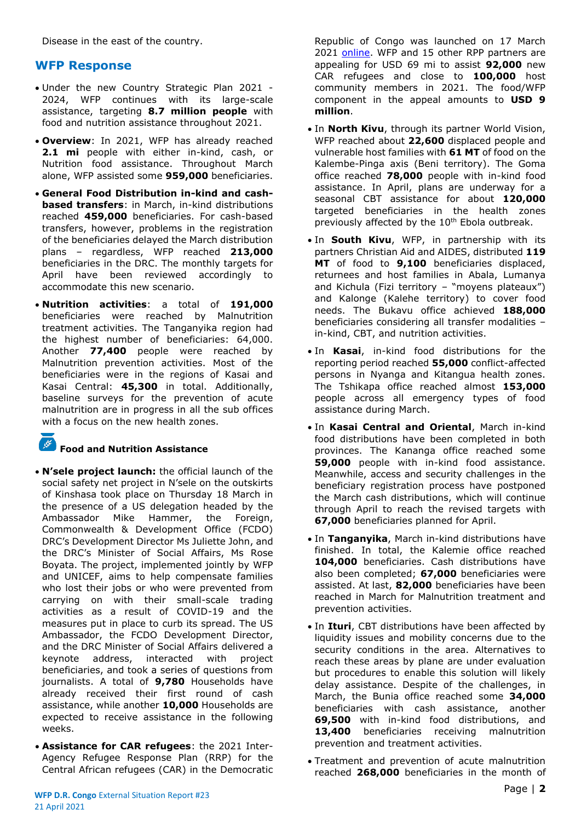Disease in the east of the country.

#### **WFP Response**

- Under the new Country Strategic Plan 2021 2024, WFP continues with its large-scale assistance, targeting **8.7 million people** with food and nutrition assistance throughout 2021.
- **Overview**: In 2021, WFP has already reached **2.1 mi** people with either in-kind, cash, or Nutrition food assistance. Throughout March alone, WFP assisted some **959,000** beneficiaries.
- **General Food Distribution in-kind and cashbased transfers**: in March, in-kind distributions reached **459,000** beneficiaries. For cash-based transfers, however, problems in the registration of the beneficiaries delayed the March distribution plans – regardless, WFP reached **213,000** beneficiaries in the DRC. The monthly targets for April have been reviewed accordingly to accommodate this new scenario.
- **Nutrition activities**: a total of **191,000** beneficiaries were reached by Malnutrition treatment activities. The Tanganyika region had the highest number of beneficiaries: 64,000. Another **77,400** people were reached by Malnutrition prevention activities. Most of the beneficiaries were in the regions of Kasai and Kasai Central: **45,300** in total. Additionally, baseline surveys for the prevention of acute malnutrition are in progress in all the sub offices with a focus on the new health zones.

 $\frac{1}{2}$ 

#### **Food and Nutrition Assistance**

- **N'sele project launch:** the official launch of the social safety net project in N'sele on the outskirts of Kinshasa took place on Thursday 18 March in the presence of a US delegation headed by the Ambassador Mike Hammer, the Foreign, Commonwealth & Development Office (FCDO) DRC's Development Director Ms Juliette John, and the DRC's Minister of Social Affairs, Ms Rose Boyata. The project, implemented jointly by WFP and UNICEF, aims to help compensate families who lost their jobs or who were prevented from carrying on with their small-scale trading activities as a result of COVID-19 and the measures put in place to curb its spread. The US Ambassador, the FCDO Development Director, and the DRC Minister of Social Affairs delivered a keynote address, interacted with project beneficiaries, and took a series of questions from journalists. A total of **9,780** Households have already received their first round of cash assistance, while another **10,000** Households are expected to receive assistance in the following weeks.
- **Assistance for CAR refugees**: the 2021 Inter-Agency Refugee Response Plan (RRP) for the Central African refugees (CAR) in the Democratic

Republic of Congo was launched on 17 March 2021 [online.](https://data2.unhcr.org/en/documents/details/85600) WFP and 15 other RPP partners are appealing for USD 69 mi to assist **92,000** new CAR refugees and close to **100,000** host community members in 2021. The food/WFP component in the appeal amounts to **USD 9 million**.

- In **North Kivu**, through its partner World Vision, WFP reached about **22,600** displaced people and vulnerable host families with **61 MT** of food on the Kalembe-Pinga axis (Beni territory). The Goma office reached **78,000** people with in-kind food assistance. In April, plans are underway for a seasonal CBT assistance for about **120,000** targeted beneficiaries in the health zones previously affected by the 10<sup>th</sup> Ebola outbreak.
- In **South Kivu**, WFP, in partnership with its partners Christian Aid and AIDES, distributed **119 MT** of food to **9,100** beneficiaries displaced, returnees and host families in Abala, Lumanya and Kichula (Fizi territory – "moyens plateaux") and Kalonge (Kalehe territory) to cover food needs. The Bukavu office achieved **188,000** beneficiaries considering all transfer modalities – in-kind, CBT, and nutrition activities.
- In **Kasai**, in-kind food distributions for the reporting period reached **55,000** conflict-affected persons in Nyanga and Kitangua health zones. The Tshikapa office reached almost **153,000** people across all emergency types of food assistance during March.
- In **Kasai Central and Oriental**, March in-kind food distributions have been completed in both provinces. The Kananga office reached some **59,000** people with in-kind food assistance. Meanwhile, access and security challenges in the beneficiary registration process have postponed the March cash distributions, which will continue through April to reach the revised targets with **67,000** beneficiaries planned for April.
- In **Tanganyika**, March in-kind distributions have finished. In total, the Kalemie office reached **104,000** beneficiaries. Cash distributions have also been completed; **67,000** beneficiaries were assisted. At last, **82,000** beneficiaries have been reached in March for Malnutrition treatment and prevention activities.
- In **Ituri**, CBT distributions have been affected by liquidity issues and mobility concerns due to the security conditions in the area. Alternatives to reach these areas by plane are under evaluation but procedures to enable this solution will likely delay assistance. Despite of the challenges, in March, the Bunia office reached some **34,000** beneficiaries with cash assistance, another **69,500** with in-kind food distributions, and **13,400** beneficiaries receiving malnutrition prevention and treatment activities.
- Treatment and prevention of acute malnutrition reached **268,000** beneficiaries in the month of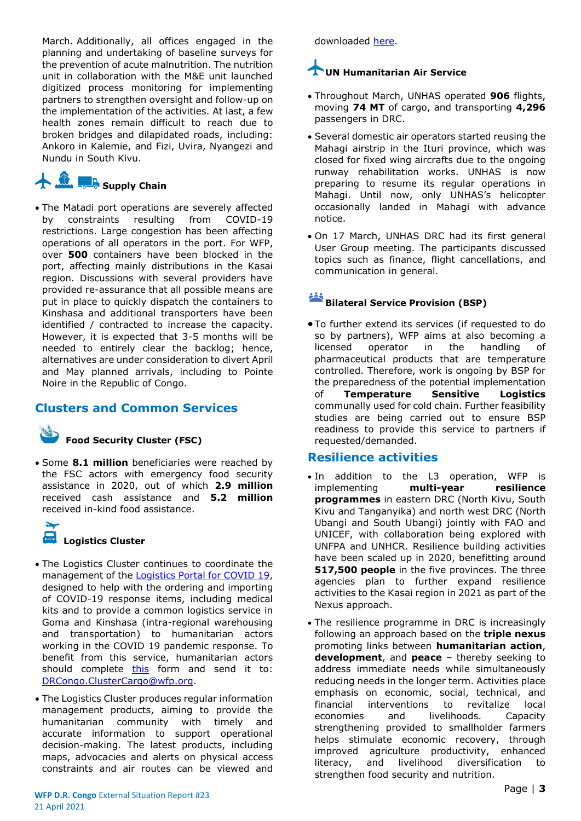March. Additionally, all offices engaged in the planning and undertaking of baseline surveys for the prevention of acute malnutrition. The nutrition unit in collaboration with the M&E unit launched digitized process monitoring for implementing partners to strengthen oversight and follow-up on the implementation of the activities. At last, a few health zones remain difficult to reach due to broken bridges and dilapidated roads, including: Ankoro in Kalemie, and Fizi, Uvira, Nyangezi and Nundu in South Kivu.

# **A. C. Supply Chain**

• The Matadi port operations are severely affected by constraints resulting from COVID-19 restrictions. Large congestion has been affecting operations of all operators in the port. For WFP, over **500** containers have been blocked in the port, affecting mainly distributions in the Kasai region. Discussions with several providers have provided re-assurance that all possible means are put in place to quickly dispatch the containers to Kinshasa and additional transporters have been identified / contracted to increase the capacity. However, it is expected that 3-5 months will be needed to entirely clear the backlog; hence, alternatives are under consideration to divert April and May planned arrivals, including to Pointe Noire in the Republic of Congo.

#### **Clusters and Common Services**

#### **Food Security Cluster (FSC)**

• Some **8.1 million** beneficiaries were reached by the FSC actors with emergency food security assistance in 2020, out of which **2.9 million** received cash assistance and **5.2 million** received in-kind food assistance.

**Logistics Cluster**

- The Logistics Cluster continues to coordinate the management of the [Logistics Portal for COVID 19,](https://covid19partnersplatform.who.int/en/) designed to help with the ordering and importing of COVID-19 response items, including medical kits and to provide a common logistics service in Goma and Kinshasa (intra-regional warehousing and transportation) to humanitarian actors working in the COVID 19 pandemic response. To benefit from this service, humanitarian actors should complete [this](https://logcluster.org/document/formulaire-demande-de-service-logistique) form and send it to: [DRCongo.ClusterCargo@wfp.org.](mailto:DRCongo.ClusterCargo@wfp.org)
- The Logistics Cluster produces regular information management products, aiming to provide the humanitarian community with timely and accurate information to support operational decision-making. The latest products, including maps, advocacies and alerts on physical access constraints and air routes can be viewed and

downloaded [here.](https://logcluster.org/ops/drc)

# **UN Humanitarian Air Service**

- Throughout March, UNHAS operated **906** flights, moving **74 MT** of cargo, and transporting **4,296** passengers in DRC.
- Several domestic air operators started reusing the Mahagi airstrip in the Ituri province, which was closed for fixed wing aircrafts due to the ongoing runway rehabilitation works. UNHAS is now preparing to resume its regular operations in Mahagi. Until now, only UNHAS's helicopter occasionally landed in Mahagi with advance notice.
- On 17 March, UNHAS DRC had its first general User Group meeting. The participants discussed topics such as finance, flight cancellations, and communication in general.

# **Bilateral Service Provision (BSP)**

• To further extend its services (if requested to do so by partners), WFP aims at also becoming a licensed operator in the handling of pharmaceutical products that are temperature controlled. Therefore, work is ongoing by BSP for the preparedness of the potential implementation of **Temperature Sensitive Logistics** communally used for cold chain. Further feasibility studies are being carried out to ensure BSP readiness to provide this service to partners if requested/demanded.

#### **Resilience activities**

- In addition to the L3 operation, WFP is implementing **multi-year resilience programmes** in eastern DRC (North Kivu, South Kivu and Tanganyika) and north west DRC (North Ubangi and South Ubangi) jointly with FAO and UNICEF, with collaboration being explored with UNFPA and UNHCR. Resilience building activities have been scaled up in 2020, benefitting around **517,500 people** in the five provinces. The three agencies plan to further expand resilience activities to the Kasai region in 2021 as part of the Nexus approach.
- The resilience programme in DRC is increasingly following an approach based on the **triple nexus** promoting links between **humanitarian action**, **development**, and **peace** – thereby seeking to address immediate needs while simultaneously reducing needs in the longer term. Activities place emphasis on economic, social, technical, and financial interventions to revitalize local economies and livelihoods. Capacity strengthening provided to smallholder farmers helps stimulate economic recovery, through improved agriculture productivity, enhanced literacy, and livelihood diversification to strengthen food security and nutrition.